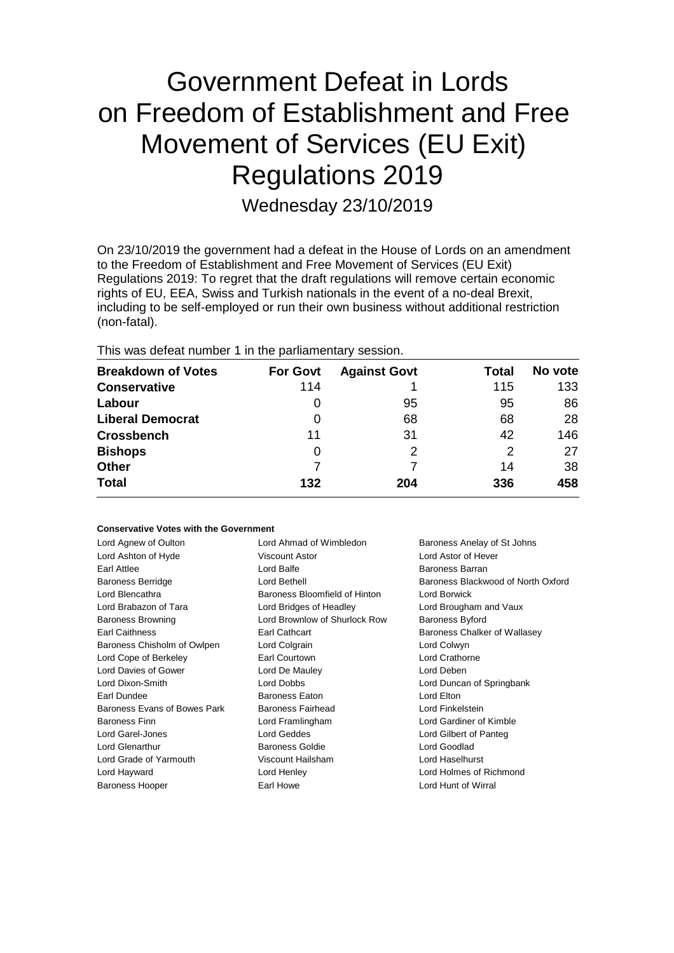# Government Defeat in Lords on Freedom of Establishment and Free Movement of Services (EU Exit) Regulations 2019

Wednesday 23/10/2019

On 23/10/2019 the government had a defeat in the House of Lords on an amendment to the Freedom of Establishment and Free Movement of Services (EU Exit) Regulations 2019: To regret that the draft regulations will remove certain economic rights of EU, EEA, Swiss and Turkish nationals in the event of a no-deal Brexit, including to be self-employed or run their own business without additional restriction (non-fatal).

This was defeat number 1 in the parliamentary session.

| <b>Breakdown of Votes</b> | <b>For Govt</b> | <b>Against Govt</b> | Total | No vote |
|---------------------------|-----------------|---------------------|-------|---------|
|                           |                 |                     |       |         |
| <b>Conservative</b>       | 114             |                     | 115   | 133     |
| Labour                    | O               | 95                  | 95    | 86      |
| <b>Liberal Democrat</b>   | 0               | 68                  | 68    | 28      |
| <b>Crossbench</b>         | 11              | 31                  | 42    | 146     |
| <b>Bishops</b>            | 0               | 2                   | 2     | 27      |
| <b>Other</b>              |                 |                     | 14    | 38      |
| <b>Total</b>              | 132             | 204                 | 336   | 458     |

# **Conservative Votes with the Government**

| Lord Agnew of Oulton         | Lord Ahmad of Wimbledon       | Baroness Anelay of St Johns        |
|------------------------------|-------------------------------|------------------------------------|
| Lord Ashton of Hyde          | Viscount Astor                | Lord Astor of Hever                |
| Earl Attlee                  | Lord Balfe                    | <b>Baroness Barran</b>             |
| Baroness Berridge            | Lord Bethell                  | Baroness Blackwood of North Oxford |
| Lord Blencathra              | Baroness Bloomfield of Hinton | Lord Borwick                       |
| Lord Brabazon of Tara        | Lord Bridges of Headley       | Lord Brougham and Vaux             |
| <b>Baroness Browning</b>     | Lord Brownlow of Shurlock Row | <b>Baroness Byford</b>             |
| <b>Earl Caithness</b>        | Earl Cathcart                 | Baroness Chalker of Wallasey       |
| Baroness Chisholm of Owlpen  | Lord Colgrain                 | Lord Colwyn                        |
| Lord Cope of Berkeley        | Earl Courtown                 | Lord Crathorne                     |
| Lord Davies of Gower         | Lord De Mauley                | Lord Deben                         |
| Lord Dixon-Smith             | Lord Dobbs                    | Lord Duncan of Springbank          |
| Earl Dundee                  | Baroness Eaton                | Lord Elton                         |
| Baroness Evans of Bowes Park | Baroness Fairhead             | Lord Finkelstein                   |
| <b>Baroness Finn</b>         | Lord Framlingham              | Lord Gardiner of Kimble            |
| Lord Garel-Jones             | Lord Geddes                   | Lord Gilbert of Panteg             |
| <b>Lord Glenarthur</b>       | <b>Baroness Goldie</b>        | Lord Goodlad                       |
| Lord Grade of Yarmouth       | Viscount Hailsham             | Lord Haselhurst                    |
| Lord Hayward                 | Lord Henley                   | Lord Holmes of Richmond            |
| <b>Baroness Hooper</b>       | Earl Howe                     | Lord Hunt of Wirral                |
|                              |                               |                                    |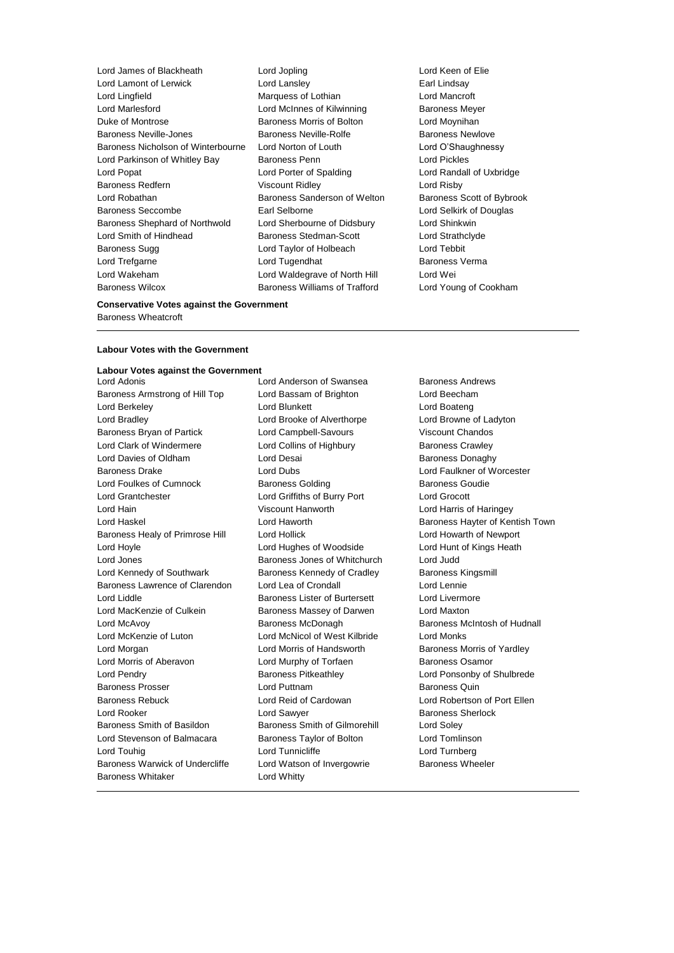Lord James of Blackheath Lord Jopling Lord Keen of Elie Lord Lamont of Lerwick Lord Lansley Earl Lindsay Lord Lingfield Marquess of Lothian Lord Mancroft Lord Marlesford Lord McInnes of Kilwinning Baroness Meyer Duke of Montrose Baroness Morris of Bolton Lord Moynihan Baroness Neville-Jones Baroness Neville-Rolfe Baroness Newlove Baroness Nicholson of Winterbourne Lord Norton of Louth Lord O'Shaughnessy Lord Parkinson of Whitley Bay Baroness Penn Lord Pickles Lord Popat Lord Porter of Spalding Lord Randall of Uxbridge Baroness Redfern Viscount Ridley Lord Risby Lord Robathan **Baroness Sanderson of Welton** Baroness Scott of Bybrook Baroness Seccombe **Earl Selborne Earl Selborne Lord Selkirk of Douglas** Baroness Shephard of Northwold Lord Sherbourne of Didsbury Lord Shinkwin Lord Smith of Hindhead **Baroness Stedman-Scott** Lord Strathclyde Baroness Sugg Lord Taylor of Holbeach Lord Tebbit Lord Trefgarne Lord Tugendhat Baroness Verma Lord Wakeham Lord Waldegrave of North Hill Lord Wei

Baroness Wilcox **Baroness Williams of Trafford** Lord Young of Cookham

# **Conservative Votes against the Government** Baroness Wheatcroft

#### **Labour Votes with the Government**

# **Labour Votes against the Government**

Baroness Armstrong of Hill Top Lord Bassam of Brighton Lord Beecham Lord Berkeley Lord Blunkett Lord Boateng Lord Bradley Lord Brooke of Alverthorpe Lord Browne of Ladyton Baroness Bryan of Partick Lord Campbell-Savours Viscount Chandos Lord Clark of Windermere **Lord Collins of Highbury** Baroness Crawley Lord Davies of Oldham **Lord Desai** Baroness Donaghy Baroness Drake Lord Dubs Lord Faulkner of Worcester Lord Foulkes of Cumnock Baroness Golding Baroness Goudie Lord Grantchester Lord Griffiths of Burry Port Lord Grocott Lord Hain Viscount Hanworth Lord Harris of Haringey Lord Haskel **Lord Haworth** Lord Haworth **Baroness Hayter of Kentish Town** Baroness Healy of Primrose Hill Lord Hollick Lord Howarth of Newport Lord Hoyle Lord Hughes of Woodside Lord Hunt of Kings Heath Lord Jones Baroness Jones of Whitchurch Lord Judd Lord Kennedy of Southwark **Baroness Kennedy of Cradley** Baroness Kingsmill Baroness Lawrence of Clarendon Lord Lea of Crondall Lord Lennie Lord Liddle Baroness Lister of Burtersett Lord Livermore Lord MacKenzie of Culkein **Baroness Massey of Darwen** Lord Maxton Lord McAvoy **Baroness McDonagh Baroness McBook** Baroness McNonagh Baroness McIntosh of Hudnall Lord McKenzie of Luton Lord McNicol of West Kilbride Lord Monks Lord Morgan Lord Morris of Handsworth Baroness Morris of Yardley Lord Morris of Aberavon **Lord Murphy of Torfaen** Baroness Osamor Lord Pendry Baroness Pitkeathley Lord Ponsonby of Shulbrede Baroness Prosser **Example 2** Lord Puttnam **Baroness Quin** Baroness Quin Baroness Rebuck Lord Reid of Cardowan Lord Robertson of Port Ellen Lord Rooker **Lord Sawyer** Communications Contained Baroness Sherlock Baroness Smith of Basildon Baroness Smith of Gilmorehill Lord Soley Lord Stevenson of Balmacara Baroness Taylor of Bolton Lord Tomlinson Lord Touhig Lord Tunnicliffe Lord Turnberg Baroness Warwick of Undercliffe Lord Watson of Invergowrie Baroness Wheeler Baroness Whitaker **Lord Whitty** 

Lord Anderson of Swansea Baroness Andrews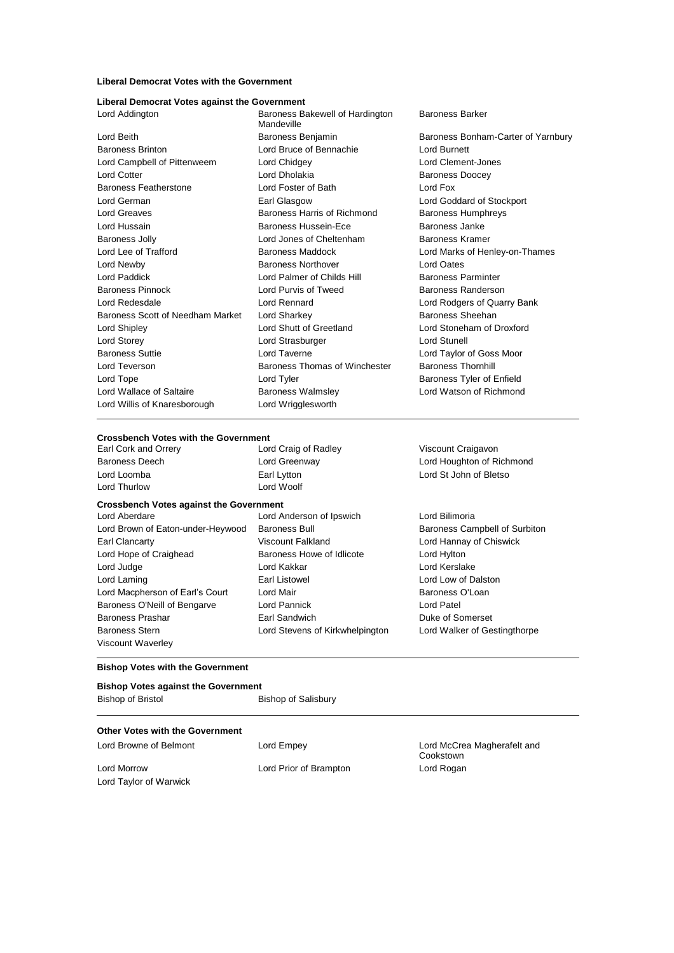# **Liberal Democrat Votes with the Government**

#### **Liberal Democrat Votes against the Government**

| Lord Addington                   | Baroness Bakewell of Hardington<br>Mandeville | <b>Baroness Barker</b>             |
|----------------------------------|-----------------------------------------------|------------------------------------|
| Lord Beith                       | Baroness Benjamin                             | Baroness Bonham-Carter of Yarnbury |
| <b>Baroness Brinton</b>          | Lord Bruce of Bennachie                       | <b>Lord Burnett</b>                |
| Lord Campbell of Pittenweem      | Lord Chidgey                                  | Lord Clement-Jones                 |
| Lord Cotter                      | Lord Dholakia                                 | <b>Baroness Doocey</b>             |
| Baroness Featherstone            | Lord Foster of Bath                           | Lord Fox                           |
| Lord German                      | Earl Glasgow                                  | Lord Goddard of Stockport          |
| Lord Greaves                     | Baroness Harris of Richmond                   | <b>Baroness Humphreys</b>          |
| Lord Hussain                     | Baroness Hussein-Ece                          | Baroness Janke                     |
| Baroness Jolly                   | Lord Jones of Cheltenham                      | Baroness Kramer                    |
| Lord Lee of Trafford             | Baroness Maddock                              | Lord Marks of Henley-on-Thames     |
| Lord Newby                       | <b>Baroness Northover</b>                     | Lord Oates                         |
| Lord Paddick                     | Lord Palmer of Childs Hill                    | <b>Baroness Parminter</b>          |
| <b>Baroness Pinnock</b>          | Lord Purvis of Tweed                          | Baroness Randerson                 |
| Lord Redesdale                   | Lord Rennard                                  | Lord Rodgers of Quarry Bank        |
| Baroness Scott of Needham Market | Lord Sharkey                                  | Baroness Sheehan                   |
| Lord Shipley                     | Lord Shutt of Greetland                       | Lord Stoneham of Droxford          |
| Lord Storey                      | Lord Strasburger                              | Lord Stunell                       |
| <b>Baroness Suttie</b>           | Lord Taverne                                  | Lord Taylor of Goss Moor           |
| Lord Teverson                    | Baroness Thomas of Winchester                 | <b>Baroness Thornhill</b>          |
| Lord Tope                        | Lord Tyler                                    | Baroness Tyler of Enfield          |
| Lord Wallace of Saltaire         | <b>Baroness Walmsley</b>                      | Lord Watson of Richmond            |
| Lord Willis of Knaresborough     | Lord Wrigglesworth                            |                                    |
|                                  |                                               |                                    |

#### **Crossbench Votes with the Government**

| Earl Cork and Orrery                           | Lord Craig of Radley            | Viscount Craigavon            |
|------------------------------------------------|---------------------------------|-------------------------------|
| <b>Baroness Deech</b>                          | Lord Greenway                   | Lord Houghton of Richmond     |
| Lord Loomba                                    | Earl Lytton                     | Lord St John of Bletso        |
| Lord Thurlow                                   | Lord Woolf                      |                               |
| <b>Crossbench Votes against the Government</b> |                                 |                               |
| Lord Aberdare                                  | Lord Anderson of Ipswich        | Lord Bilimoria                |
| Lord Brown of Eaton-under-Heywood              | Baroness Bull                   | Baroness Campbell of Surbiton |
| Earl Clancarty                                 | Viscount Falkland               | Lord Hannay of Chiswick       |
| Lord Hope of Craighead                         | Baroness Howe of Idlicote       | Lord Hylton                   |
| Lord Judge                                     | Lord Kakkar                     | Lord Kerslake                 |
| Lord Laming                                    | Earl Listowel                   | Lord Low of Dalston           |
| Lord Macpherson of Earl's Court                | Lord Mair                       | Baroness O'Loan               |
| Baroness O'Neill of Bengarve                   | Lord Pannick                    | Lord Patel                    |
| Baroness Prashar                               | Earl Sandwich                   | Duke of Somerset              |
| <b>Baroness Stern</b>                          | Lord Stevens of Kirkwhelpington | Lord Walker of Gestingthorpe  |
| Viscount Waverley                              |                                 |                               |
|                                                |                                 |                               |

## **Bishop Votes with the Government**

| <b>Bishop Votes against the Government</b> |                     |  |  |
|--------------------------------------------|---------------------|--|--|
| Bishop of Bristol                          | Bishop of Salisbury |  |  |
| Other Votes with the Government            |                     |  |  |

| <b>OUTEL VOLGS WILLI LITE OUVELITIIEIIL</b> |                        |                                          |
|---------------------------------------------|------------------------|------------------------------------------|
| Lord Browne of Belmont                      | Lord Empey             | Lord McCrea Magherafelt and<br>Cookstown |
| Lord Morrow                                 | Lord Prior of Brampton | Lord Rogan                               |
| Lord Taylor of Warwick                      |                        |                                          |